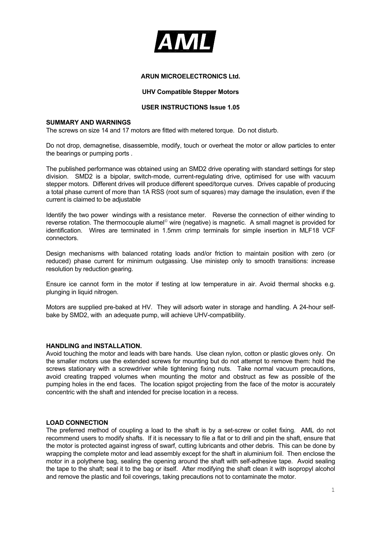

## **ARUN MICROELECTRONICS Ltd.**

# **UHV Compatible Stepper Motors**

### **USER INSTRUCTIONS Issue 1.05**

#### **SUMMARY AND WARNINGS**

The screws on size 14 and 17 motors are fitted with metered torque. Do not disturb.

Do not drop, demagnetise, disassemble, modify, touch or overheat the motor or allow particles to enter the bearings or pumping ports .

The published performance was obtained using an SMD2 drive operating with standard settings for step division. SMD2 is a bipolar, switch-mode, current-regulating drive, optimised for use with vacuum stepper motors. Different drives will produce different speed/torque curves. Drives capable of producing a total phase current of more than 1A RSS (root sum of squares) may damage the insulation, even if the current is claimed to be adjustable

Identify the two power windings with a resistance meter. Reverse the connection of either winding to reverse rotation. The thermocouple alumel<sup>®</sup> wire (negative) is magnetic. A small magnet is provided for identification. Wires are terminated in 1.5mm crimp terminals for simple insertion in MLF18 VCF connectors.

Design mechanisms with balanced rotating loads and/or friction to maintain position with zero (or reduced) phase current for minimum outgassing. Use ministep only to smooth transitions: increase resolution by reduction gearing.

Ensure ice cannot form in the motor if testing at low temperature in air. Avoid thermal shocks e.g. plunging in liquid nitrogen.

Motors are supplied pre-baked at HV. They will adsorb water in storage and handling. A 24-hour selfbake by SMD2, with an adequate pump, will achieve UHV-compatibility.

#### **HANDLING and INSTALLATION.**

Avoid touching the motor and leads with bare hands. Use clean nylon, cotton or plastic gloves only. On the smaller motors use the extended screws for mounting but do not attempt to remove them: hold the screws stationary with a screwdriver while tightening fixing nuts. Take normal vacuum precautions, avoid creating trapped volumes when mounting the motor and obstruct as few as possible of the pumping holes in the end faces. The location spigot projecting from the face of the motor is accurately concentric with the shaft and intended for precise location in a recess.

#### **LOAD CONNECTION**

The preferred method of coupling a load to the shaft is by a set-screw or collet fixing. AML do not recommend users to modify shafts. If it is necessary to file a flat or to drill and pin the shaft, ensure that the motor is protected against ingress of swarf, cutting lubricants and other debris. This can be done by wrapping the complete motor and lead assembly except for the shaft in aluminium foil. Then enclose the motor in a polythene bag, sealing the opening around the shaft with self-adhesive tape. Avoid sealing the tape to the shaft; seal it to the bag or itself. After modifying the shaft clean it with isopropyl alcohol and remove the plastic and foil coverings, taking precautions not to contaminate the motor.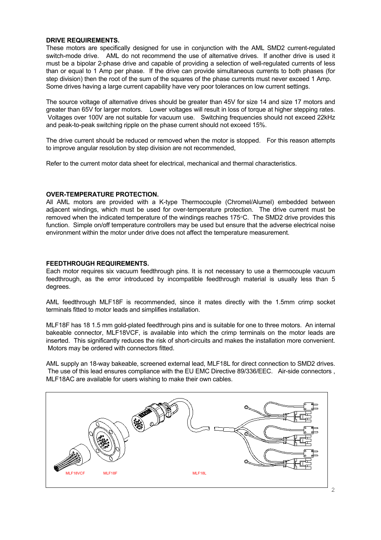### **DRIVE REQUIREMENTS.**

These motors are specifically designed for use in conjunction with the AML SMD2 current-regulated switch-mode drive. AML do not recommend the use of alternative drives. If another drive is used it must be a bipolar 2-phase drive and capable of providing a selection of well-regulated currents of less than or equal to 1 Amp per phase. If the drive can provide simultaneous currents to both phases (for step division) then the root of the sum of the squares of the phase currents must never exceed 1 Amp. Some drives having a large current capability have very poor tolerances on low current settings.

The source voltage of alternative drives should be greater than 45V for size 14 and size 17 motors and greater than 65V for larger motors. Lower voltages will result in loss of torque at higher stepping rates. Voltages over 100V are not suitable for vacuum use. Switching frequencies should not exceed 22kHz and peak-to-peak switching ripple on the phase current should not exceed 15%.

The drive current should be reduced or removed when the motor is stopped. For this reason attempts to improve angular resolution by step division are not recommended,

Refer to the current motor data sheet for electrical, mechanical and thermal characteristics.

## **OVER-TEMPERATURE PROTECTION.**

All AML motors are provided with a K-type Thermocouple (Chromel/Alumel) embedded between adjacent windings, which must be used for over-temperature protection. The drive current must be removed when the indicated temperature of the windings reaches 175°C. The SMD2 drive provides this function. Simple on/off temperature controllers may be used but ensure that the adverse electrical noise environment within the motor under drive does not affect the temperature measurement.

## **FEEDTHROUGH REQUIREMENTS.**

Each motor requires six vacuum feedthrough pins. It is not necessary to use a thermocouple vacuum feedthrough, as the error introduced by incompatible feedthrough material is usually less than 5 degrees.

AML feedthrough MLF18F is recommended, since it mates directly with the 1.5mm crimp socket terminals fitted to motor leads and simplifies installation.

MLF18F has 18 1.5 mm gold-plated feedthrough pins and is suitable for one to three motors. An internal bakeable connector, MLF18VCF, is available into which the crimp terminals on the motor leads are inserted. This significantly reduces the risk of short-circuits and makes the installation more convenient. Motors may be ordered with connectors fitted.

AML supply an 18-way bakeable, screened external lead, MLF18L for direct connection to SMD2 drives. The use of this lead ensures compliance with the EU EMC Directive 89/336/EEC. Air-side connectors , MLF18AC are available for users wishing to make their own cables.

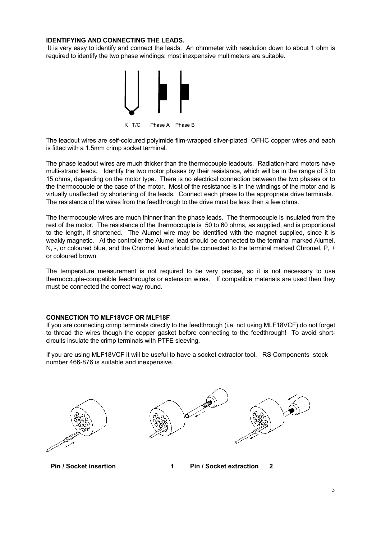### **IDENTIFYING AND CONNECTING THE LEADS.**

It is very easy to identify and connect the leads. An ohmmeter with resolution down to about 1 ohm is required to identify the two phase windings: most inexpensive multimeters are suitable.



The leadout wires are self-coloured polyimide film-wrapped silver-plated OFHC copper wires and each is fitted with a 1.5mm crimp socket terminal.

The phase leadout wires are much thicker than the thermocouple leadouts. Radiation-hard motors have multi-strand leads. Identify the two motor phases by their resistance, which will be in the range of 3 to 15 ohms, depending on the motor type. There is no electrical connection between the two phases or to the thermocouple or the case of the motor. Most of the resistance is in the windings of the motor and is virtually unaffected by shortening of the leads. Connect each phase to the appropriate drive terminals. The resistance of the wires from the feedthrough to the drive must be less than a few ohms.

The thermocouple wires are much thinner than the phase leads. The thermocouple is insulated from the rest of the motor. The resistance of the thermocouple is 50 to 60 ohms, as supplied, and is proportional to the length, if shortened. The Alumel wire may be identified with the magnet supplied, since it is weakly magnetic. At the controller the Alumel lead should be connected to the terminal marked Alumel, N, -, or coloured blue, and the Chromel lead should be connected to the terminal marked Chromel, P, + or coloured brown.

The temperature measurement is not required to be very precise, so it is not necessary to use thermocouple-compatible feedthroughs or extension wires. If compatible materials are used then they must be connected the correct way round.

# **CONNECTION TO MLF18VCF OR MLF18F**

If you are connecting crimp terminals directly to the feedthrough (i.e. not using MLF18VCF) do not forget to thread the wires though the copper gasket before connecting to the feedthrough! To avoid shortcircuits insulate the crimp terminals with PTFE sleeving.

If you are using MLF18VCF it will be useful to have a socket extractor tool. RS Components stock number 466-876 is suitable and inexpensive.





**Pin / Socket insertion 1 Pin / Socket extraction 2**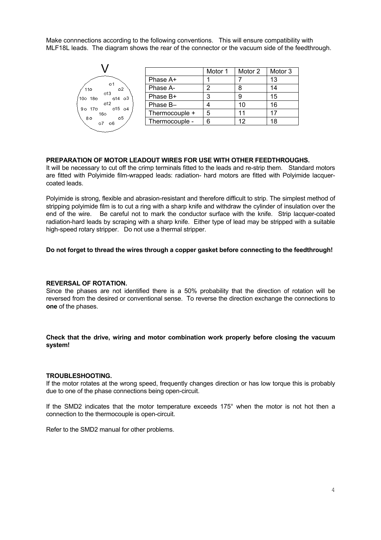Make connnections according to the following conventions. This will ensure compatibility with MLF18L leads. The diagram shows the rear of the connector or the vacuum side of the feedthrough.

|                                                       |                | Motor 1 | Motor 2 | Motor 3 |
|-------------------------------------------------------|----------------|---------|---------|---------|
|                                                       | Phase A+       |         |         | 13      |
| $\circ$ 1<br>11 <sup>°</sup><br>$\circ$ 2             | Phase A-       |         | 8       | 14      |
| $013$<br>$\circ$ 14 $\circ$ 3<br>100 180              | Phase B+       | 3       | 9       | 15      |
| O <sub>12</sub>                                       | Phase B-       |         | 10      | 16      |
| $015 \quad 04$<br>$90\quad170$<br>16 <sup>°</sup>     | Thermocouple + | 5       |         | 17      |
| 8 <sup>o</sup><br>$\circ 5$<br>$\circ$ 7<br>$\circ 6$ | Thermocouple - | 6       | 12      | 18      |
|                                                       |                |         |         |         |

## **PREPARATION OF MOTOR LEADOUT WIRES FOR USE WITH OTHER FEEDTHROUGHS.**

It will be necessary to cut off the crimp terminals fitted to the leads and re-strip them. Standard motors are fitted with Polyimide film-wrapped leads: radiation- hard motors are fitted with Polyimide lacquercoated leads.

Polyimide is strong, flexible and abrasion-resistant and therefore difficult to strip. The simplest method of stripping polyimide film is to cut a ring with a sharp knife and withdraw the cylinder of insulation over the end of the wire. Be careful not to mark the conductor surface with the knife. Strip lacquer-coated radiation-hard leads by scraping with a sharp knife. Either type of lead may be stripped with a suitable high-speed rotary stripper. Do not use a thermal stripper.

## **Do not forget to thread the wires through a copper gasket before connecting to the feedthrough!**

#### **REVERSAL OF ROTATION.**

Since the phases are not identified there is a 50% probability that the direction of rotation will be reversed from the desired or conventional sense. To reverse the direction exchange the connections to **one** of the phases.

## **Check that the drive, wiring and motor combination work properly before closing the vacuum system!**

### **TROUBLESHOOTING.**

If the motor rotates at the wrong speed, frequently changes direction or has low torque this is probably due to one of the phase connections being open-circuit.

If the SMD2 indicates that the motor temperature exceeds 175° when the motor is not hot then a connection to the thermocouple is open-circuit.

Refer to the SMD2 manual for other problems.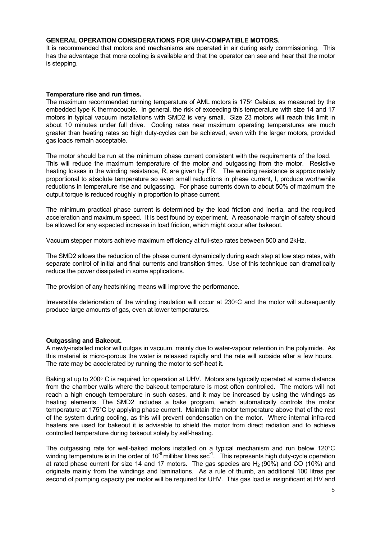# **GENERAL OPERATION CONSIDERATIONS FOR UHV-COMPATIBLE MOTORS.**

It is recommended that motors and mechanisms are operated in air during early commissioning. This has the advantage that more cooling is available and that the operator can see and hear that the motor is stepping.

# **Temperature rise and run times.**

The maximum recommended running temperature of AML motors is 175° Celsius, as measured by the embedded type K thermocouple. In general, the risk of exceeding this temperature with size 14 and 17 motors in typical vacuum installations with SMD2 is very small. Size 23 motors will reach this limit in about 10 minutes under full drive. Cooling rates near maximum operating temperatures are much greater than heating rates so high duty-cycles can be achieved, even with the larger motors, provided gas loads remain acceptable.

The motor should be run at the minimum phase current consistent with the requirements of the load. This will reduce the maximum temperature of the motor and outgassing from the motor. Resistive heating losses in the winding resistance, R, are given by  $I^2R$ . The winding resistance is approximately proportional to absolute temperature so even small reductions in phase current, I, produce worthwhile reductions in temperature rise and outgassing. For phase currents down to about 50% of maximum the output torque is reduced roughly in proportion to phase current.

The minimum practical phase current is determined by the load friction and inertia, and the required acceleration and maximum speed. It is best found by experiment. A reasonable margin of safety should be allowed for any expected increase in load friction, which might occur after bakeout.

Vacuum stepper motors achieve maximum efficiency at full-step rates between 500 and 2kHz.

The SMD2 allows the reduction of the phase current dynamically during each step at low step rates, with separate control of initial and final currents and transition times. Use of this technique can dramatically reduce the power dissipated in some applications.

The provision of any heatsinking means will improve the performance.

Irreversible deterioration of the winding insulation will occur at 230°C and the motor will subsequently produce large amounts of gas, even at lower temperatures.

#### **Outgassing and Bakeout.**

A newly-installed motor will outgas in vacuum, mainly due to water-vapour retention in the polyimide. As this material is micro-porous the water is released rapidly and the rate will subside after a few hours. The rate may be accelerated by running the motor to self-heat it.

Baking at up to 200° C is required for operation at UHV. Motors are typically operated at some distance from the chamber walls where the bakeout temperature is most often controlled. The motors will not reach a high enough temperature in such cases, and it may be increased by using the windings as heating elements. The SMD2 includes a bake program, which automatically controls the motor temperature at 175°C by applying phase current. Maintain the motor temperature above that of the rest of the system during cooling, as this will prevent condensation on the motor. Where internal infra-red heaters are used for bakeout it is advisable to shield the motor from direct radiation and to achieve controlled temperature during bakeout solely by self-heating.

The outgassing rate for well-baked motors installed on a typical mechanism and run below 120°C winding temperature is in the order of  $10^{-8}$  millibar litres sec<sup>-1</sup>. This represents high duty-cycle operation at rated phase current for size 14 and 17 motors. The gas species are  $H_2$  (90%) and CO (10%) and originate mainly from the windings and laminations. As a rule of thumb, an additional 100 litres per second of pumping capacity per motor will be required for UHV. This gas load is insignificant at HV and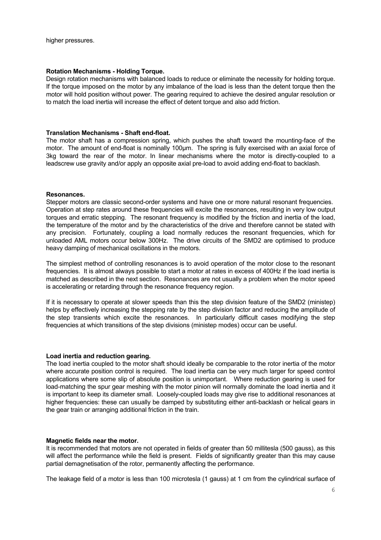higher pressures.

#### **Rotation Mechanisms - Holding Torque.**

Design rotation mechanisms with balanced loads to reduce or eliminate the necessity for holding torque. If the torque imposed on the motor by any imbalance of the load is less than the detent torque then the motor will hold position without power. The gearing required to achieve the desired angular resolution or to match the load inertia will increase the effect of detent torque and also add friction.

#### **Translation Mechanisms - Shaft end-float.**

The motor shaft has a compression spring, which pushes the shaft toward the mounting-face of the motor. The amount of end-float is nominally 100µm. The spring is fully exercised with an axial force of 3kg toward the rear of the motor. In linear mechanisms where the motor is directly-coupled to a leadscrew use gravity and/or apply an opposite axial pre-load to avoid adding end-float to backlash.

#### **Resonances.**

Stepper motors are classic second-order systems and have one or more natural resonant frequencies. Operation at step rates around these frequencies will excite the resonances, resulting in very low output torques and erratic stepping. The resonant frequency is modified by the friction and inertia of the load, the temperature of the motor and by the characteristics of the drive and therefore cannot be stated with any precision. Fortunately, coupling a load normally reduces the resonant frequencies, which for unloaded AML motors occur below 300Hz. The drive circuits of the SMD2 are optimised to produce heavy damping of mechanical oscillations in the motors.

The simplest method of controlling resonances is to avoid operation of the motor close to the resonant frequencies. It is almost always possible to start a motor at rates in excess of 400Hz if the load inertia is matched as described in the next section. Resonances are not usually a problem when the motor speed is accelerating or retarding through the resonance frequency region.

If it is necessary to operate at slower speeds than this the step division feature of the SMD2 (ministep) helps by effectively increasing the stepping rate by the step division factor and reducing the amplitude of the step transients which excite the resonances. In particularly difficult cases modifying the step frequencies at which transitions of the step divisions (ministep modes) occur can be useful.

#### **Load inertia and reduction gearing.**

The load inertia coupled to the motor shaft should ideally be comparable to the rotor inertia of the motor where accurate position control is required. The load inertia can be very much larger for speed control applications where some slip of absolute position is unimportant. Where reduction gearing is used for load-matching the spur gear meshing with the motor pinion will normally dominate the load inertia and it is important to keep its diameter small. Loosely-coupled loads may give rise to additional resonances at higher frequencies: these can usually be damped by substituting either anti-backlash or helical gears in the gear train or arranging additional friction in the train.

#### **Magnetic fields near the motor.**

It is recommended that motors are not operated in fields of greater than 50 millitesla (500 gauss), as this will affect the performance while the field is present. Fields of significantly greater than this may cause partial demagnetisation of the rotor, permanently affecting the performance.

The leakage field of a motor is less than 100 microtesla (1 gauss) at 1 cm from the cylindrical surface of